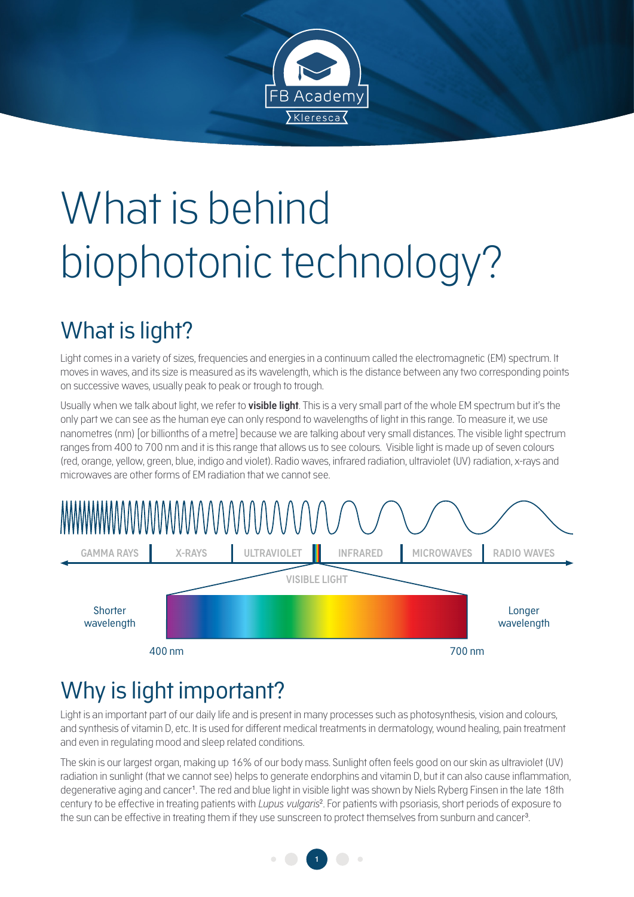

# What is behind biophotonic technology?

# What is light?

Light comes in a variety of sizes, frequencies and energies in a continuum called the electromagnetic (EM) spectrum. It moves in waves, and its size is measured as its wavelength, which is the distance between any two corresponding points on successive waves, usually peak to peak or trough to trough.

Usually when we talk about light, we refer to **visible light**. This is a very small part of the whole EM spectrum but it's the only part we can see as the human eye can only respond to wavelengths of light in this range. To measure it, we use nanometres (nm) [or billionths of a metre] because we are talking about very small distances. The visible light spectrum ranges from 400 to 700 nm and it is this range that allows us to see colours. Visible light is made up of seven colours (red, orange, yellow, green, blue, indigo and violet). Radio waves, infrared radiation, ultraviolet (UV) radiation, x-rays and microwaves are other forms of EM radiation that we cannot see.



## Why is light important?

Light is an important part of our daily life and is present in many processes such as photosynthesis, vision and colours, and synthesis of vitamin D, etc. It is used for different medical treatments in dermatology, wound healing, pain treatment and even in regulating mood and sleep related conditions.

The skin is our largest organ, making up 16% of our body mass. Sunlight often feels good on our skin as ultraviolet (UV) radiation in sunlight (that we cannot see) helps to generate endorphins and vitamin D, but it can also cause inflammation, degenerative aging and cancer<sup>1</sup>. The red and blue light in visible light was shown by Niels Ryberg Finsen in the late 18th century to be effective in treating patients with *Lupus vulgaris*<sup>2</sup> . For patients with psoriasis, short periods of exposure to the sun can be effective in treating them if they use sunscreen to protect themselves from sunburn and cancer<sup>3</sup> .

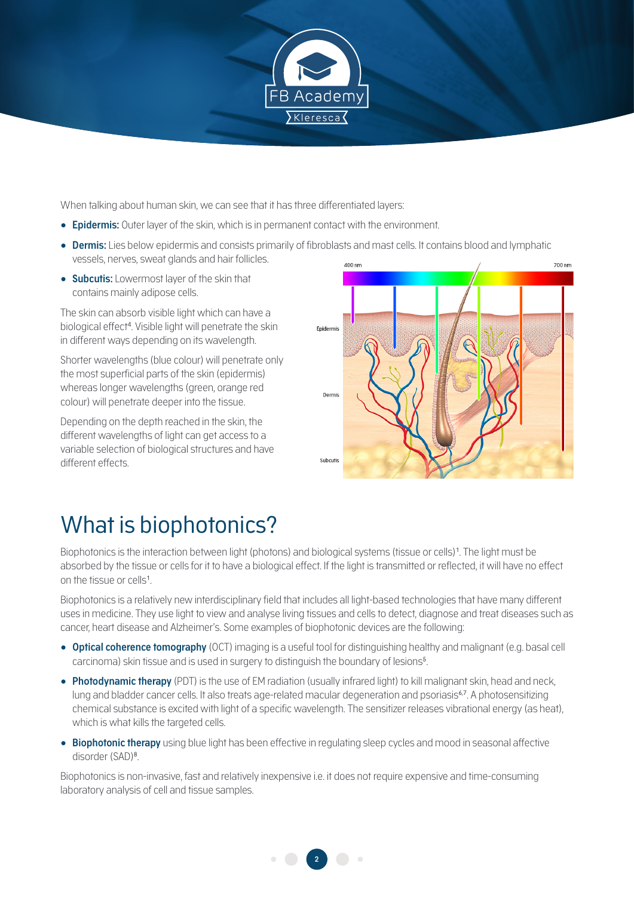

When talking about human skin, we can see that it has three differentiated layers:

- **Epidermis:** Outer layer of the skin, which is in permanent contact with the environment.
- **Dermis:** Lies below epidermis and consists primarily of fibroblasts and mast cells. It contains blood and lymphatic vessels, nerves, sweat glands and hair follicles.
- **Subcutis:** Lowermost layer of the skin that contains mainly adipose cells.

The skin can absorb visible light which can have a biological effect<sup>4</sup> . Visible light will penetrate the skin in different ways depending on its wavelength.

Shorter wavelengths (blue colour) will penetrate only the most superficial parts of the skin (epidermis) whereas longer wavelengths (green, orange red colour) will penetrate deeper into the tissue.

Depending on the depth reached in the skin, the different wavelengths of light can get access to a variable selection of biological structures and have different effects.



### What is biophotonics?

Biophotonics is the interaction between light (photons) and biological systems (tissue or cells)<sup>1</sup> . The light must be absorbed by the tissue or cells for it to have a biological effect. If the light is transmitted or reflected, it will have no effect on the tissue or cells<sup>1</sup>.

Biophotonics is a relatively new interdisciplinary field that includes all light-based technologies that have many different uses in medicine. They use light to view and analyse living tissues and cells to detect, diagnose and treat diseases such as cancer, heart disease and Alzheimer's. Some examples of biophotonic devices are the following:

- **Optical coherence tomography** (OCT) imaging is a useful tool for distinguishing healthy and malignant (e.g. basal cell carcinoma) skin tissue and is used in surgery to distinguish the boundary of lesions<sup>5</sup>.
- **Photodynamic therapy** (PDT) is the use of EM radiation (usually infrared light) to kill malignant skin, head and neck, lung and bladder cancer cells. It also treats age-related macular degeneration and psoriasis<sup>6,7</sup>. A photosensitizing chemical substance is excited with light of a specific wavelength. The sensitizer releases vibrational energy (as heat), which is what kills the targeted cells.
- **Biophotonic therapy** using blue light has been effective in regulating sleep cycles and mood in seasonal affective disorder (SAD)<sup>8</sup>.

Biophotonics is non-invasive, fast and relatively inexpensive i.e. it does not require expensive and time-consuming laboratory analysis of cell and tissue samples.

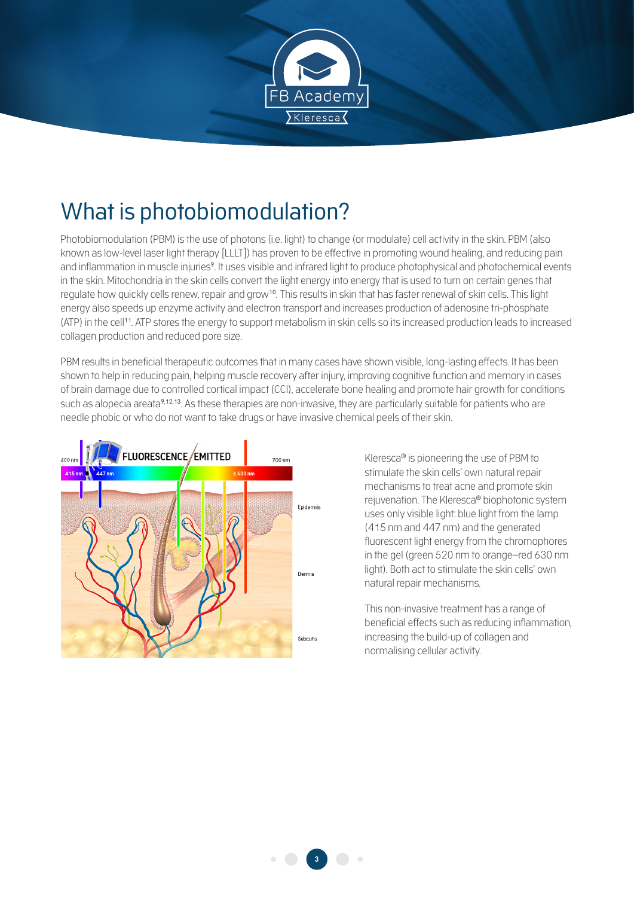

#### What is photobiomodulation?

Photobiomodulation (PBM) is the use of photons (i.e. light) to change (or modulate) cell activity in the skin. PBM (also known as low-level laser light therapy [LLLT]) has proven to be effective in promoting wound healing, and reducing pain and inflammation in muscle injuries<sup>9</sup>. It uses visible and infrared light to produce photophysical and photochemical events in the skin. Mitochondria in the skin cells convert the light energy into energy that is used to turn on certain genes that regulate how quickly cells renew, repair and grow10. This results in skin that has faster renewal of skin cells. This light energy also speeds up enzyme activity and electron transport and increases production of adenosine tri-phosphate (ATP) in the cell11. ATP stores the energy to support metabolism in skin cells so its increased production leads to increased collagen production and reduced pore size.

PBM results in beneficial therapeutic outcomes that in many cases have shown visible, long-lasting effects. It has been shown to help in reducing pain, helping muscle recovery after injury, improving cognitive function and memory in cases of brain damage due to controlled cortical impact (CCI), accelerate bone healing and promote hair growth for conditions such as alopecia areata<sup>9,12,13</sup>. As these therapies are non-invasive, they are particularly suitable for patients who are needle phobic or who do not want to take drugs or have invasive chemical peels of their skin.



Kleresca® is pioneering the use of PBM to stimulate the skin cells' own natural repair mechanisms to treat acne and promote skin rejuvenation. The Kleresca® biophotonic system uses only visible light: blue light from the lamp (415 nm and 447 nm) and the generated fluorescent light energy from the chromophores in the gel (green 520 nm to orange–red 630 nm light). Both act to stimulate the skin cells' own natural repair mechanisms.

This non-invasive treatment has a range of beneficial effects such as reducing inflammation, increasing the build-up of collagen and normalising cellular activity.